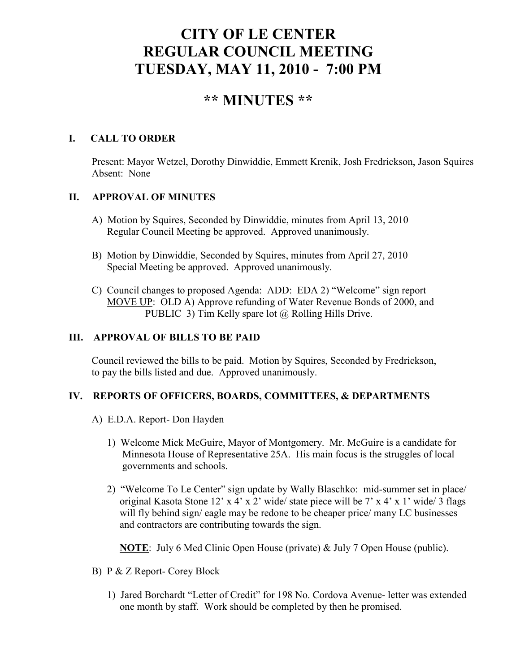# **CITY OF LE CENTER REGULAR COUNCIL MEETING TUESDAY, MAY 11, 2010 - 7:00 PM**

## **\*\* MINUTES \*\***

## **I. CALL TO ORDER**

Present: Mayor Wetzel, Dorothy Dinwiddie, Emmett Krenik, Josh Fredrickson, Jason Squires Absent: None

## **II. APPROVAL OF MINUTES**

- A) Motion by Squires, Seconded by Dinwiddie, minutes from April 13, 2010 Regular Council Meeting be approved. Approved unanimously.
- B) Motion by Dinwiddie, Seconded by Squires, minutes from April 27, 2010 Special Meeting be approved. Approved unanimously.
- C) Council changes to proposed Agenda: ADD: EDA 2) "Welcome" sign report MOVE UP: OLD A) Approve refunding of Water Revenue Bonds of 2000, and PUBLIC 3) Tim Kelly spare lot @ Rolling Hills Drive.

### **III. APPROVAL OF BILLS TO BE PAID**

Council reviewed the bills to be paid. Motion by Squires, Seconded by Fredrickson, to pay the bills listed and due. Approved unanimously.

## **IV. REPORTS OF OFFICERS, BOARDS, COMMITTEES, & DEPARTMENTS**

- A) E.D.A. Report- Don Hayden
	- 1) Welcome Mick McGuire, Mayor of Montgomery. Mr. McGuire is a candidate for Minnesota House of Representative 25A. His main focus is the struggles of local governments and schools.
	- 2) "Welcome To Le Center" sign update by Wally Blaschko: mid-summer set in place/ original Kasota Stone 12' x 4' x 2' wide/ state piece will be 7' x 4' x 1' wide/ 3 flags will fly behind sign/ eagle may be redone to be cheaper price/ many LC businesses and contractors are contributing towards the sign.

**NOTE**: July 6 Med Clinic Open House (private) & July 7 Open House (public).

- B) P & Z Report- Corey Block
	- 1) Jared Borchardt "Letter of Credit" for 198 No. Cordova Avenue- letter was extended one month by staff. Work should be completed by then he promised.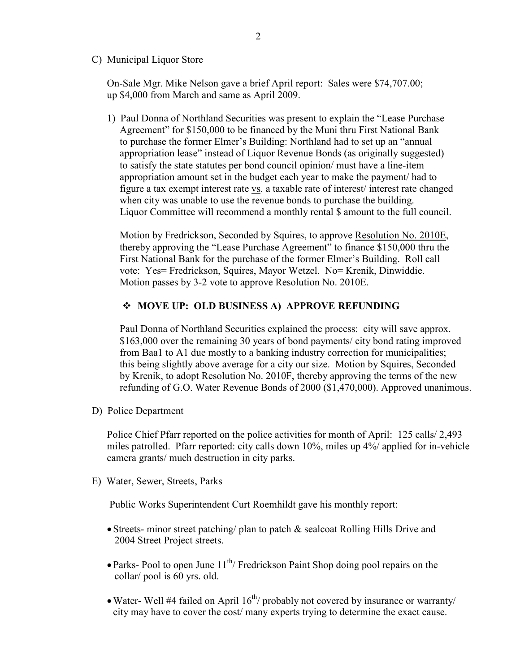C) Municipal Liquor Store

On-Sale Mgr. Mike Nelson gave a brief April report: Sales were \$74,707.00; up \$4,000 from March and same as April 2009.

1) Paul Donna of Northland Securities was present to explain the "Lease Purchase Agreement" for \$150,000 to be financed by the Muni thru First National Bank to purchase the former Elmer's Building: Northland had to set up an "annual appropriation lease" instead of Liquor Revenue Bonds (as originally suggested) to satisfy the state statutes per bond council opinion/ must have a line-item appropriation amount set in the budget each year to make the payment/ had to figure a tax exempt interest rate vs. a taxable rate of interest/ interest rate changed when city was unable to use the revenue bonds to purchase the building. Liquor Committee will recommend a monthly rental \$ amount to the full council.

 Motion by Fredrickson, Seconded by Squires, to approve Resolution No. 2010E, thereby approving the "Lease Purchase Agreement" to finance \$150,000 thru the First National Bank for the purchase of the former Elmer's Building. Roll call vote: Yes= Fredrickson, Squires, Mayor Wetzel. No= Krenik, Dinwiddie. Motion passes by 3-2 vote to approve Resolution No. 2010E.

#### **MOVE UP: OLD BUSINESS A) APPROVE REFUNDING**

Paul Donna of Northland Securities explained the process: city will save approx. \$163,000 over the remaining 30 years of bond payments/ city bond rating improved from Baa1 to A1 due mostly to a banking industry correction for municipalities; this being slightly above average for a city our size. Motion by Squires, Seconded by Krenik, to adopt Resolution No. 2010F, thereby approving the terms of the new refunding of G.O. Water Revenue Bonds of 2000 (\$1,470,000). Approved unanimous.

D) Police Department

Police Chief Pfarr reported on the police activities for month of April: 125 calls/ 2,493 miles patrolled. Pfarr reported: city calls down 10%, miles up 4%/ applied for in-vehicle camera grants/ much destruction in city parks.

E) Water, Sewer, Streets, Parks

Public Works Superintendent Curt Roemhildt gave his monthly report:

- Streets- minor street patching/ plan to patch & sealcoat Rolling Hills Drive and 2004 Street Project streets.
- Parks- Pool to open June  $11<sup>th</sup>/$  Fredrickson Paint Shop doing pool repairs on the collar/ pool is 60 yrs. old.
- Water- Well #4 failed on April  $16^{th}$ / probably not covered by insurance or warranty/ city may have to cover the cost/ many experts trying to determine the exact cause.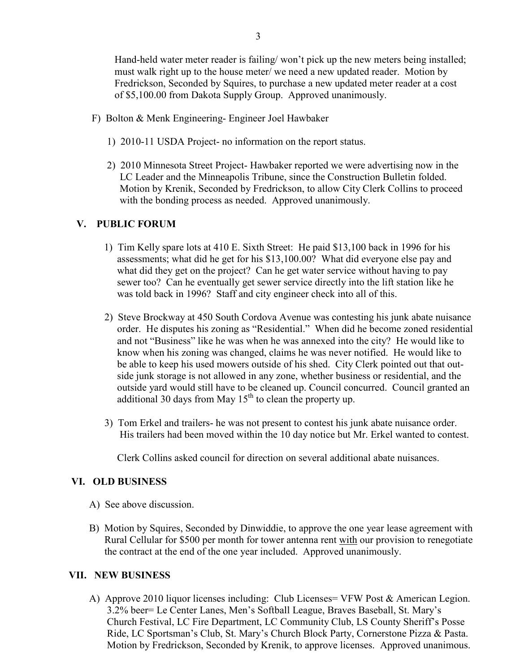Hand-held water meter reader is failing/won't pick up the new meters being installed; must walk right up to the house meter/ we need a new updated reader. Motion by Fredrickson, Seconded by Squires, to purchase a new updated meter reader at a cost of \$5,100.00 from Dakota Supply Group. Approved unanimously.

- F) Bolton & Menk Engineering- Engineer Joel Hawbaker
	- 1) 2010-11 USDA Project- no information on the report status.
	- 2) 2010 Minnesota Street Project- Hawbaker reported we were advertising now in the LC Leader and the Minneapolis Tribune, since the Construction Bulletin folded. Motion by Krenik, Seconded by Fredrickson, to allow City Clerk Collins to proceed with the bonding process as needed. Approved unanimously.

## **V. PUBLIC FORUM**

- 1) Tim Kelly spare lots at 410 E. Sixth Street: He paid \$13,100 back in 1996 for his assessments; what did he get for his \$13,100.00? What did everyone else pay and what did they get on the project? Can he get water service without having to pay sewer too? Can he eventually get sewer service directly into the lift station like he was told back in 1996? Staff and city engineer check into all of this.
- 2) Steve Brockway at 450 South Cordova Avenue was contesting his junk abate nuisance order. He disputes his zoning as "Residential." When did he become zoned residential and not "Business" like he was when he was annexed into the city? He would like to know when his zoning was changed, claims he was never notified. He would like to be able to keep his used mowers outside of his shed. City Clerk pointed out that out side junk storage is not allowed in any zone, whether business or residential, and the outside yard would still have to be cleaned up. Council concurred. Council granted an additional 30 days from May  $15<sup>th</sup>$  to clean the property up.
- 3) Tom Erkel and trailers- he was not present to contest his junk abate nuisance order. His trailers had been moved within the 10 day notice but Mr. Erkel wanted to contest.

Clerk Collins asked council for direction on several additional abate nuisances.

## **VI. OLD BUSINESS**

- A) See above discussion.
- B) Motion by Squires, Seconded by Dinwiddie, to approve the one year lease agreement with Rural Cellular for \$500 per month for tower antenna rent with our provision to renegotiate the contract at the end of the one year included. Approved unanimously.

#### **VII. NEW BUSINESS**

 A) Approve 2010 liquor licenses including: Club Licenses= VFW Post & American Legion. 3.2% beer= Le Center Lanes, Men's Softball League, Braves Baseball, St. Mary's Church Festival, LC Fire Department, LC Community Club, LS County Sheriff's Posse Ride, LC Sportsman's Club, St. Mary's Church Block Party, Cornerstone Pizza & Pasta. Motion by Fredrickson, Seconded by Krenik, to approve licenses. Approved unanimous.